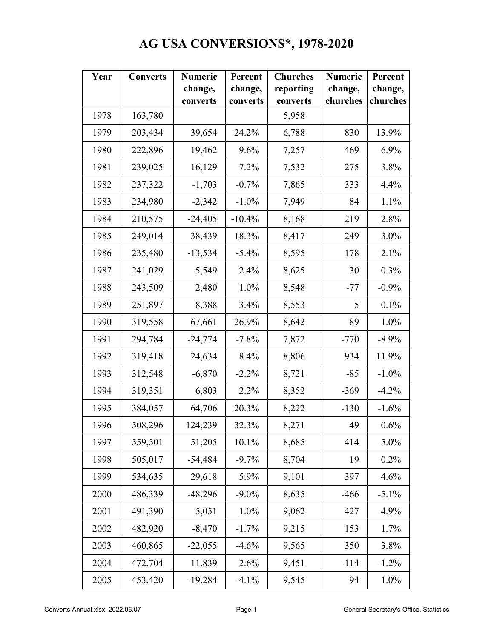## **AG USA CONVERSIONS\*, 1978-2020**

| Year | <b>Converts</b> | <b>Numeric</b> | Percent  | <b>Churches</b> | <b>Numeric</b> | Percent  |
|------|-----------------|----------------|----------|-----------------|----------------|----------|
|      |                 | change,        | change,  | reporting       | change,        | change,  |
|      |                 | converts       | converts | converts        | churches       | churches |
| 1978 | 163,780         |                |          | 5,958           |                |          |
| 1979 | 203,434         | 39,654         | 24.2%    | 6,788           | 830            | 13.9%    |
| 1980 | 222,896         | 19,462         | 9.6%     | 7,257           | 469            | 6.9%     |
| 1981 | 239,025         | 16,129         | 7.2%     | 7,532           | 275            | 3.8%     |
| 1982 | 237,322         | $-1,703$       | $-0.7%$  | 7,865           | 333            | 4.4%     |
| 1983 | 234,980         | $-2,342$       | $-1.0\%$ | 7,949           | 84             | 1.1%     |
| 1984 | 210,575         | $-24,405$      | $-10.4%$ | 8,168           | 219            | 2.8%     |
| 1985 | 249,014         | 38,439         | 18.3%    | 8,417           | 249            | 3.0%     |
| 1986 | 235,480         | $-13,534$      | $-5.4%$  | 8,595           | 178            | 2.1%     |
| 1987 | 241,029         | 5,549          | 2.4%     | 8,625           | 30             | 0.3%     |
| 1988 | 243,509         | 2,480          | 1.0%     | 8,548           | $-77$          | $-0.9%$  |
| 1989 | 251,897         | 8,388          | 3.4%     | 8,553           | 5              | 0.1%     |
| 1990 | 319,558         | 67,661         | 26.9%    | 8,642           | 89             | 1.0%     |
| 1991 | 294,784         | $-24,774$      | $-7.8%$  | 7,872           | $-770$         | $-8.9\%$ |
| 1992 | 319,418         | 24,634         | 8.4%     | 8,806           | 934            | 11.9%    |
| 1993 | 312,548         | $-6,870$       | $-2.2%$  | 8,721           | $-85$          | $-1.0\%$ |
| 1994 | 319,351         | 6,803          | 2.2%     | 8,352           | $-369$         | $-4.2%$  |
| 1995 | 384,057         | 64,706         | 20.3%    | 8,222           | $-130$         | $-1.6%$  |
| 1996 | 508,296         | 124,239        | 32.3%    | 8,271           | 49             | 0.6%     |
| 1997 | 559,501         | 51,205         | 10.1%    | 8,685           | 414            | 5.0%     |
| 1998 | 505,017         | $-54,484$      | $-9.7%$  | 8,704           | 19             | 0.2%     |
| 1999 | 534,635         | 29,618         | 5.9%     | 9,101           | 397            | 4.6%     |
| 2000 | 486,339         | $-48,296$      | $-9.0\%$ | 8,635           | $-466$         | $-5.1\%$ |
| 2001 | 491,390         | 5,051          | 1.0%     | 9,062           | 427            | 4.9%     |
| 2002 | 482,920         | $-8,470$       | $-1.7%$  | 9,215           | 153            | 1.7%     |
| 2003 | 460,865         | $-22,055$      | $-4.6%$  | 9,565           | 350            | 3.8%     |
| 2004 | 472,704         | 11,839         | 2.6%     | 9,451           | $-114$         | $-1.2%$  |
| 2005 | 453,420         | $-19,284$      | $-4.1%$  | 9,545           | 94             | 1.0%     |